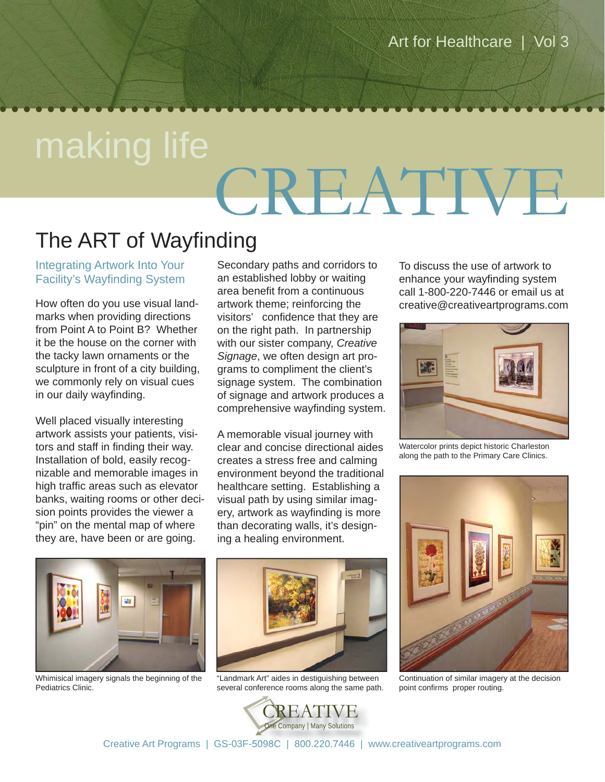# **CREATIV** making life

## The ART of Wayfinding

Integrating Artwork Into Your **Facility's Wayfinding System** 

How often do you use visual landmarks when providing directions from Point A to Point B? Whether it be the house on the corner with the tacky lawn ornaments or the sculpture in front of a city building, we commonly rely on visual cues in our daily wayfinding.

Well placed visually interesting artwork assists your patients, visitors and staff in finding their way. Installation of bold, easily recognizable and memorable images in high traffic areas such as elevator banks, waiting rooms or other decision points provides the viewer a "pin" on the mental map of where they are, have been or are going.

Secondary paths and corridors to an established lobby or waiting area benefit from a continuous artwork theme; reinforcing the visitors' confidence that they are on the right path. In partnership with our sister company, *Creative Signage*, we often design art programs to compliment the client's signage system. The combination of signage and artwork produces a comprehensive wayfinding system.

A memorable visual journey with clear and concise directional aides creates a stress free and calming environment beyond the traditional healthcare setting. Establishing a visual path by using similar imagery, artwork as wayfinding is more than decorating walls, it's designing a healing environment.



Whimisical imagery signals the beginning of the Pediatrics Clinic.



"Landmark Art" aides in destiguishing between several conference rooms along the same path.





Watercolor prints depict historic Charleston along the path to the Primary Care Clinics.



Continuation of similar imagery at the decision point confirms proper routing.